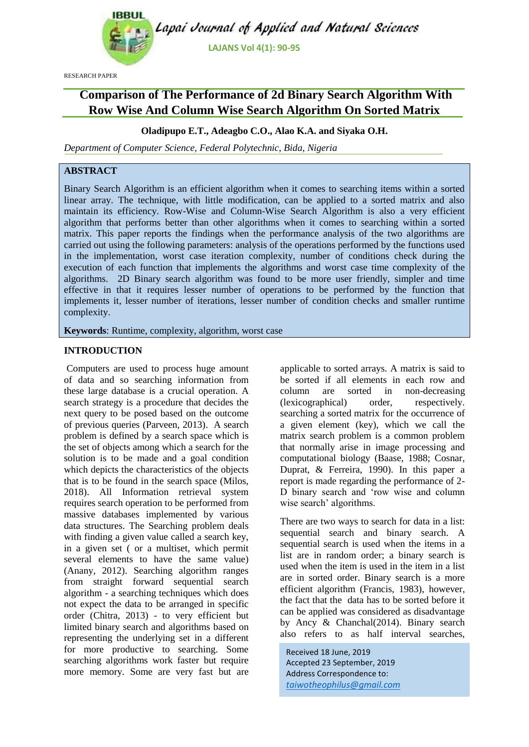

RESEARCH PAPER

# **Comparison of The Performance of 2d Binary Search Algorithm With Row Wise And Column Wise Search Algorithm On Sorted Matrix**

# **Oladipupo E.T., Adeagbo C.O., Alao K.A. and Siyaka O.H.**

*Department of Computer Science, Federal Polytechnic, Bida, Nigeria*

# **ABSTRACT**

Binary Search Algorithm is an efficient algorithm when it comes to searching items within a sorted linear array. The technique, with little modification, can be applied to a sorted matrix and also maintain its efficiency. Row-Wise and Column-Wise Search Algorithm is also a very efficient algorithm that performs better than other algorithms when it comes to searching within a sorted matrix. This paper reports the findings when the performance analysis of the two algorithms are carried out using the following parameters: analysis of the operations performed by the functions used in the implementation, worst case iteration complexity, number of conditions check during the execution of each function that implements the algorithms and worst case time complexity of the algorithms. 2D Binary search algorithm was found to be more user friendly, simpler and time effective in that it requires lesser number of operations to be performed by the function that implements it, lesser number of iterations, lesser number of condition checks and smaller runtime complexity.

**Keywords**: Runtime, complexity, algorithm, worst case

### **INTRODUCTION**

Computers are used to process huge amount of data and so searching information from these large database is a crucial operation. A search strategy is a procedure that decides the next query to be posed based on the outcome of previous queries (Parveen, 2013). A search problem is defined by a search space which is the set of objects among which a search for the solution is to be made and a goal condition which depicts the characteristics of the objects that is to be found in the search space (Milos, 2018). All Information retrieval system requires search operation to be performed from massive databases implemented by various data structures. The Searching problem deals with finding a given value called a search key, in a given set ( or a multiset, which permit several elements to have the same value) (Anany, 2012). Searching algorithm ranges from straight forward sequential search algorithm - a searching techniques which does not expect the data to be arranged in specific order (Chitra, 2013) - to very efficient but limited binary search and algorithms based on representing the underlying set in a different for more productive to searching. Some searching algorithms work faster but require more memory. Some are very fast but are

applicable to sorted arrays. A matrix is said to be sorted if all elements in each row and column are sorted in non-decreasing (lexicographical) order, respectively. searching a sorted matrix for the occurrence of a given element (key), which we call the matrix search problem is a common problem that normally arise in image processing and computational biology (Baase, 1988; Cosnar, Duprat, & Ferreira, 1990). In this paper a report is made regarding the performance of 2- D binary search and 'row wise and column wise search' algorithms.

There are two ways to search for data in a list: sequential search and binary search. A sequential search is used when the items in a list are in random order; a binary search is used when the item is used in the item in a list are in sorted order. Binary search is a more efficient algorithm (Francis, 1983), however, the fact that the data has to be sorted before it can be applied was considered as disadvantage by Ancy & Chanchal(2014). Binary search also refers to as half interval searches,

Received 18 June, 2019 Accepted 23 September, 2019 Address Correspondence to: *taiwotheophilus@gmail.com*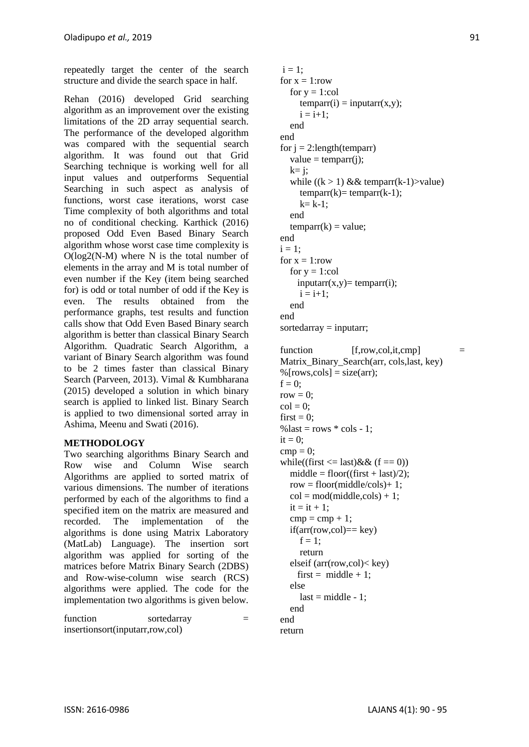repeatedly target the center of the search structure and divide the search space in half.

Rehan (2016) developed Grid searching algorithm as an improvement over the existing limitations of the 2D array sequential search. The performance of the developed algorithm was compared with the sequential search algorithm. It was found out that Grid Searching technique is working well for all input values and outperforms Sequential Searching in such aspect as analysis of functions, worst case iterations, worst case Time complexity of both algorithms and total no of conditional checking. Karthick (2016) proposed Odd Even Based Binary Search algorithm whose worst case time complexity is  $O(log2(N-M)$  where N is the total number of elements in the array and M is total number of even number if the Key (item being searched for) is odd or total number of odd if the Key is even. The results obtained from the performance graphs, test results and function calls show that Odd Even Based Binary search algorithm is better than classical Binary Search Algorithm. Quadratic Search Algorithm, a variant of Binary Search algorithm was found to be 2 times faster than classical Binary Search (Parveen, 2013). Vimal & Kumbharana (2015) developed a solution in which binary search is applied to linked list. Binary Search is applied to two dimensional sorted array in Ashima, Meenu and Swati (2016).

# **METHODOLOGY**

Two searching algorithms Binary Search and Row wise and Column Wise search Algorithms are applied to sorted matrix of various dimensions. The number of iterations performed by each of the algorithms to find a specified item on the matrix are measured and recorded. The implementation of the algorithms is done using Matrix Laboratory (MatLab) Language). The insertion sort algorithm was applied for sorting of the matrices before Matrix Binary Search (2DBS) and Row-wise-column wise search (RCS) algorithms were applied. The code for the implementation two algorithms is given below.

function sortedarray  $=$ insertionsort(inputarr,row,col)

 $i = 1$ : for  $x = 1$ :row for  $y = 1$ :col  $temparr(i) = inputarr(x,y);$  $i = i + 1$ : end end for  $j = 2$ : length (temparr) value  $=$  temparr(i):  $k = i$ ; while  $((k > 1) \& \& \text{temperature})$  $temparr(k) = temparr(k-1);$  $k= k-1$ : end  $temparr(k) = value;$ end  $i = 1$ : for  $x = 1$ :row for  $y = 1$ :col  $inputarr(x,y)= temparr(i);$  $i = i+1$ : end end  $sortedarray = inputarr;$ 

```
function [f,row,col,it,cmp] =
Matrix_Binary_Search(arr, cols,last, key)
%[rows,cols] = size(arr);
f = 0:
row = 0;
col = 0:
first = 0:
% last = rows * cols - 1;
it = 0;
cmp = 0;while((first \langle = last) & \& (f == 0))
  middle = floor((first + last)/2);row = floor(middle/cols) + 1;col = mod(middle, cols) + 1;it = it + 1:
  cmp = cmp + 1;if(arr(row,col)=kev)f = 1 return
   elseif (arr(row,col)< key)
    first = middle + 1;
   else
    last = middle - 1; end
end
```
return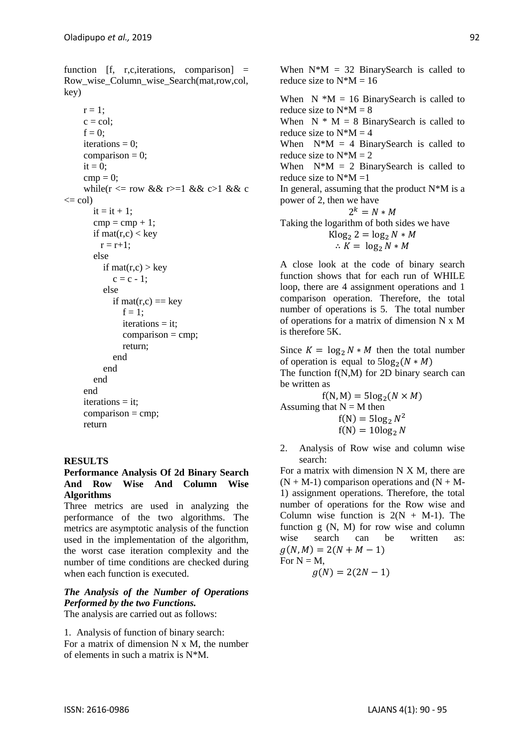function  $[f, r,c$ , iterations, comparison $] =$ Row\_wise\_Column\_wise\_Search(mat,row,col, key)

```
r = 1;
     c = col:
     f = 0:
     iterations = 0;
     comparison = 0;
     it = 0:
     cmp = 0;while(r \leq r row && r > = 1 && c>1 && c
\leq col)
        it = it + 1:
        cmp = cmp + 1;if mat(r,c) < key
          r = r + 1;
         else
          if mat(r,c) > key
             c = c - 1:
           else
             if mat(r,c) = \text{key}f = 1:
                iterations = it:
                comparison = \text{cmp}; return;
              end
           end
         end
      end
      iterations = it;
     comparison = cmp:
      return
```
# **RESULTS**

### **Performance Analysis Of 2d Binary Search And Row Wise And Column Wise Algorithms**

Three metrics are used in analyzing the performance of the two algorithms. The metrics are asymptotic analysis of the function used in the implementation of the algorithm, the worst case iteration complexity and the number of time conditions are checked during when each function is executed.

# *The Analysis of the Number of Operations Performed by the two Functions.*

The analysis are carried out as follows:

1. Analysis of function of binary search: For a matrix of dimension N x M, the number of elements in such a matrix is N\*M.

When  $N^*M = 32$  BinarySearch is called to reduce size to  $N^*M = 16$ 

When  $N * M = 16$  BinarySearch is called to reduce size to  $N^*M = 8$ 

When  $N * M = 8$  BinarySearch is called to reduce size to  $N^*M = 4$ 

When  $N^*M = 4$  BinarySearch is called to reduce size to  $N^*M = 2$ 

When  $N^*M = 2$  BinarySearch is called to reduce size to  $N^*M = 1$ 

In general, assuming that the product  $N^*M$  is a power of 2, then we have

$$
2k = N * M
$$
  
Taking the logarithm of both sides we have  

$$
K \log_2 2 = \log_2 N * M
$$

$$
\therefore K = \log_2 N * M
$$

A close look at the code of binary search function shows that for each run of WHILE loop, there are 4 assignment operations and 1 comparison operation. Therefore, the total number of operations is 5. The total number of operations for a matrix of dimension N x M is therefore 5K.

Since  $K = \log_2 N * M$  then the total number of operation is equal to  $5\log_2(N*M)$ The function f(N,M) for 2D binary search can be written as

 $f(N, M) = 5\log_2(N \times M)$ Assuming that  $N = M$  then  $f(N) = 5\log_2 N^2$ 

 $f(N) = 10\log_2 N$ 

2. Analysis of Row wise and column wise search:

For a matrix with dimension N X M, there are  $(N + M-1)$  comparison operations and  $(N + M-1)$ 1) assignment operations. Therefore, the total number of operations for the Row wise and Column wise function is  $2(N + M-1)$ . The function g (N, M) for row wise and column wise search can be written as:  $q(N, M) = 2(N + M - 1)$ For  $N = M$ ,

$$
g(N)=2(2N-1)
$$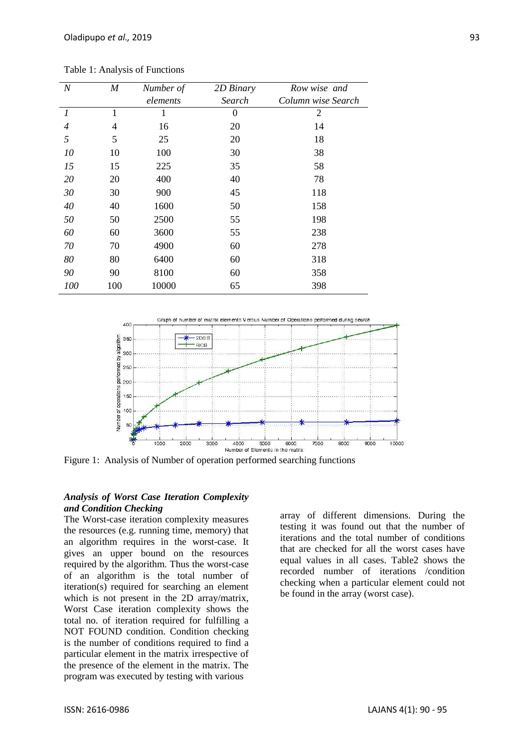Table 1: Analysis of Functions

| $\cal N$         | M   | Number of | 2D Binary | Row wise and       |
|------------------|-----|-----------|-----------|--------------------|
|                  |     | elements  | Search    | Column wise Search |
| $\boldsymbol{l}$ | 1   | 1         | 0         | 2                  |
| $\overline{4}$   | 4   | 16        | 20        | 14                 |
| 5                | 5   | 25        | 20        | 18                 |
| 10               | 10  | 100       | 30        | 38                 |
| 15               | 15  | 225       | 35        | 58                 |
| 20               | 20  | 400       | 40        | 78                 |
| 30               | 30  | 900       | 45        | 118                |
| 40               | 40  | 1600      | 50        | 158                |
| 50               | 50  | 2500      | 55        | 198                |
| 60               | 60  | 3600      | 55        | 238                |
| 70               | 70  | 4900      | 60        | 278                |
| 80               | 80  | 6400      | 60        | 318                |
| 90               | 90  | 8100      | 60        | 358                |
| 100              | 100 | 10000     | 65        | 398                |



Figure 1: Analysis of Number of operation performed searching functions

### *Analysis of Worst Case Iteration Complexity and Condition Checking*

The Worst-case iteration complexity measures the resources (e.g. running time, memory) that an algorithm requires in the worst-case. It gives an upper bound on the resources required by the algorithm. Thus the worst-case of an algorithm is the total number of iteration(s) required for searching an element which is not present in the 2D array/matrix, Worst Case iteration complexity shows the total no. of iteration required for fulfilling a NOT FOUND condition. Condition checking is the number of conditions required to find a particular element in the matrix irrespective of the presence of the element in the matrix. The program was executed by testing with various

array of different dimensions. During the testing it was found out that the number of iterations and the total number of conditions that are checked for all the worst cases have equal values in all cases. Table2 shows the recorded number of iterations /condition checking when a particular element could not be found in the array (worst case).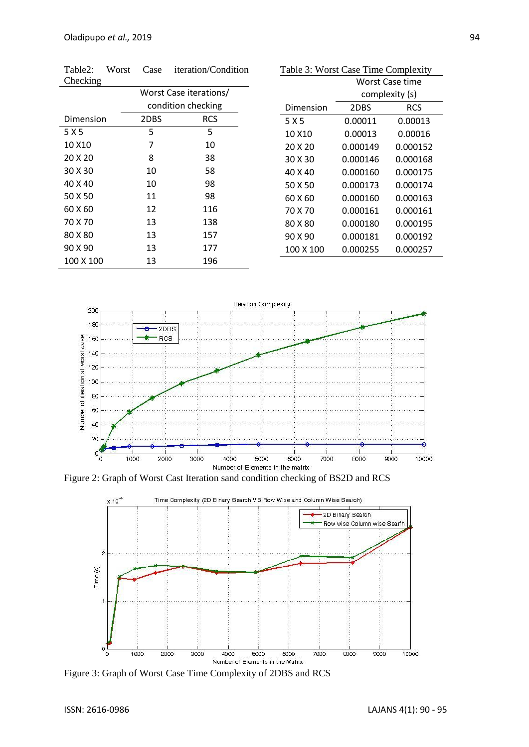| Table2:            | Worst | Case                   | iteration/Condition |  |
|--------------------|-------|------------------------|---------------------|--|
| Checking           |       |                        |                     |  |
|                    |       | Worst Case iterations/ |                     |  |
|                    |       | condition checking     |                     |  |
| Dimension          |       | 2DBS                   | <b>RCS</b>          |  |
| 5 X 5              |       | 5                      | 5                   |  |
| 10 X <sub>10</sub> |       | 7                      | 10                  |  |
| 20 X 20            |       | 8                      | 38                  |  |
| 30 X 30            |       | 10                     | 58                  |  |
| 40 X 40            |       | 10                     | 98                  |  |
| 50 X 50            |       | 11                     | 98                  |  |
| 60 X 60            |       | 12                     | 116                 |  |
| 70 X 70            |       | 13                     | 138                 |  |
| 80 X 80            |       | 13                     | 157                 |  |
| 90 X 90            |       | 13                     | 177                 |  |
| 100 X 100          |       | 13                     | 196                 |  |

| Table 3: Worst Case Time Complexity |                 |            |  |  |  |  |
|-------------------------------------|-----------------|------------|--|--|--|--|
|                                     | Worst Case time |            |  |  |  |  |
|                                     | complexity (s)  |            |  |  |  |  |
| Dimension                           | 2DBS            | <b>RCS</b> |  |  |  |  |
| 5 X 5                               | 0.00011         | 0.00013    |  |  |  |  |
| 10 X10                              | 0.00013         | 0.00016    |  |  |  |  |
| 20 X 20                             | 0.000149        | 0.000152   |  |  |  |  |
| 30 X 30                             | 0.000146        | 0.000168   |  |  |  |  |
| 40 X 40                             | 0.000160        | 0.000175   |  |  |  |  |
| 50 X 50                             | 0.000173        | 0.000174   |  |  |  |  |
| 60 X 60                             | 0.000160        | 0.000163   |  |  |  |  |
| 70 X 70                             | 0.000161        | 0.000161   |  |  |  |  |
| 80 X 80                             | 0.000180        | 0.000195   |  |  |  |  |
| 90 X 90                             | 0.000181        | 0.000192   |  |  |  |  |
| 100 X 100                           | 0.000255        | 0.000257   |  |  |  |  |



Figure 2: Graph of Worst Cast Iteration sand condition checking of BS2D and RCS



Figure 3: Graph of Worst Case Time Complexity of 2DBS and RCS